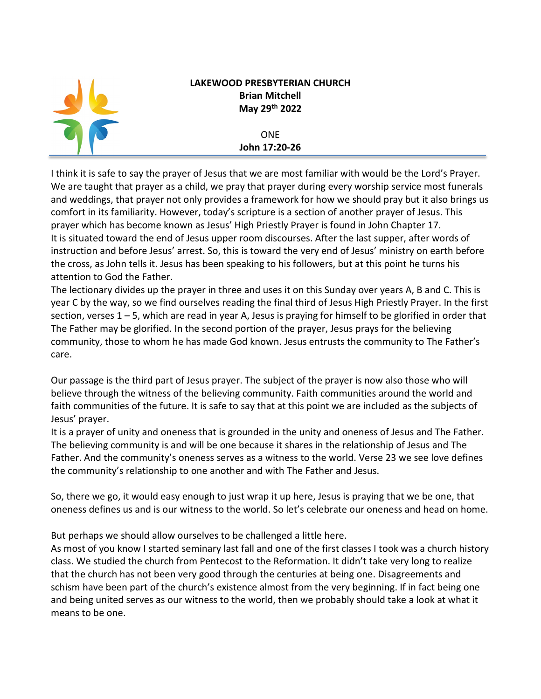

## **LAKEWOOD PRESBYTERIAN CHURCH Brian Mitchell May 29th 2022**

## ONE **John 17:20-26**

I think it is safe to say the prayer of Jesus that we are most familiar with would be the Lord's Prayer. We are taught that prayer as a child, we pray that prayer during every worship service most funerals and weddings, that prayer not only provides a framework for how we should pray but it also brings us comfort in its familiarity. However, today's scripture is a section of another prayer of Jesus. This prayer which has become known as Jesus' High Priestly Prayer is found in John Chapter 17. It is situated toward the end of Jesus upper room discourses. After the last supper, after words of instruction and before Jesus' arrest. So, this is toward the very end of Jesus' ministry on earth before the cross, as John tells it. Jesus has been speaking to his followers, but at this point he turns his attention to God the Father.

The lectionary divides up the prayer in three and uses it on this Sunday over years A, B and C. This is year C by the way, so we find ourselves reading the final third of Jesus High Priestly Prayer. In the first section, verses 1 – 5, which are read in year A, Jesus is praying for himself to be glorified in order that The Father may be glorified. In the second portion of the prayer, Jesus prays for the believing community, those to whom he has made God known. Jesus entrusts the community to The Father's care.

Our passage is the third part of Jesus prayer. The subject of the prayer is now also those who will believe through the witness of the believing community. Faith communities around the world and faith communities of the future. It is safe to say that at this point we are included as the subjects of Jesus' prayer.

It is a prayer of unity and oneness that is grounded in the unity and oneness of Jesus and The Father. The believing community is and will be one because it shares in the relationship of Jesus and The Father. And the community's oneness serves as a witness to the world. Verse 23 we see love defines the community's relationship to one another and with The Father and Jesus.

So, there we go, it would easy enough to just wrap it up here, Jesus is praying that we be one, that oneness defines us and is our witness to the world. So let's celebrate our oneness and head on home.

But perhaps we should allow ourselves to be challenged a little here.

As most of you know I started seminary last fall and one of the first classes I took was a church history class. We studied the church from Pentecost to the Reformation. It didn't take very long to realize that the church has not been very good through the centuries at being one. Disagreements and schism have been part of the church's existence almost from the very beginning. If in fact being one and being united serves as our witness to the world, then we probably should take a look at what it means to be one.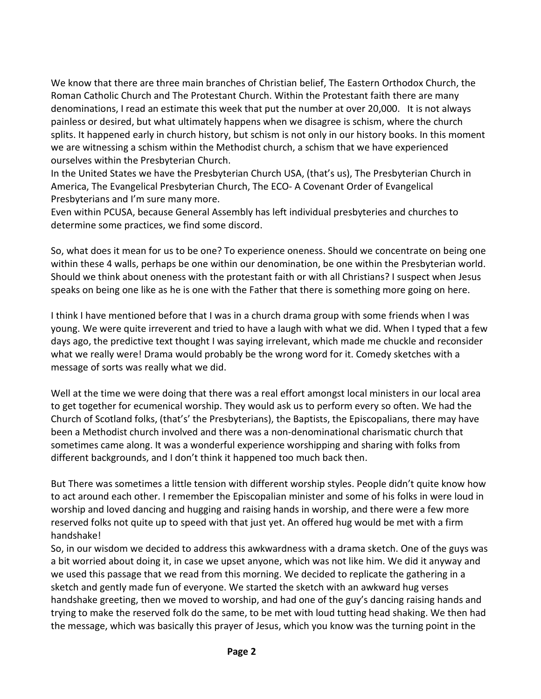We know that there are three main branches of Christian belief, The Eastern Orthodox Church, the Roman Catholic Church and The Protestant Church. Within the Protestant faith there are many denominations, I read an estimate this week that put the number at over 20,000. It is not always painless or desired, but what ultimately happens when we disagree is schism, where the church splits. It happened early in church history, but schism is not only in our history books. In this moment we are witnessing a schism within the Methodist church, a schism that we have experienced ourselves within the Presbyterian Church.

In the United States we have the Presbyterian Church USA, (that's us), The Presbyterian Church in America, The Evangelical Presbyterian Church, The ECO- A Covenant Order of Evangelical Presbyterians and I'm sure many more.

Even within PCUSA, because General Assembly has left individual presbyteries and churches to determine some practices, we find some discord.

So, what does it mean for us to be one? To experience oneness. Should we concentrate on being one within these 4 walls, perhaps be one within our denomination, be one within the Presbyterian world. Should we think about oneness with the protestant faith or with all Christians? I suspect when Jesus speaks on being one like as he is one with the Father that there is something more going on here.

I think I have mentioned before that I was in a church drama group with some friends when I was young. We were quite irreverent and tried to have a laugh with what we did. When I typed that a few days ago, the predictive text thought I was saying irrelevant, which made me chuckle and reconsider what we really were! Drama would probably be the wrong word for it. Comedy sketches with a message of sorts was really what we did.

Well at the time we were doing that there was a real effort amongst local ministers in our local area to get together for ecumenical worship. They would ask us to perform every so often. We had the Church of Scotland folks, (that's' the Presbyterians), the Baptists, the Episcopalians, there may have been a Methodist church involved and there was a non-denominational charismatic church that sometimes came along. It was a wonderful experience worshipping and sharing with folks from different backgrounds, and I don't think it happened too much back then.

But There was sometimes a little tension with different worship styles. People didn't quite know how to act around each other. I remember the Episcopalian minister and some of his folks in were loud in worship and loved dancing and hugging and raising hands in worship, and there were a few more reserved folks not quite up to speed with that just yet. An offered hug would be met with a firm handshake!

So, in our wisdom we decided to address this awkwardness with a drama sketch. One of the guys was a bit worried about doing it, in case we upset anyone, which was not like him. We did it anyway and we used this passage that we read from this morning. We decided to replicate the gathering in a sketch and gently made fun of everyone. We started the sketch with an awkward hug verses handshake greeting, then we moved to worship, and had one of the guy's dancing raising hands and trying to make the reserved folk do the same, to be met with loud tutting head shaking. We then had the message, which was basically this prayer of Jesus, which you know was the turning point in the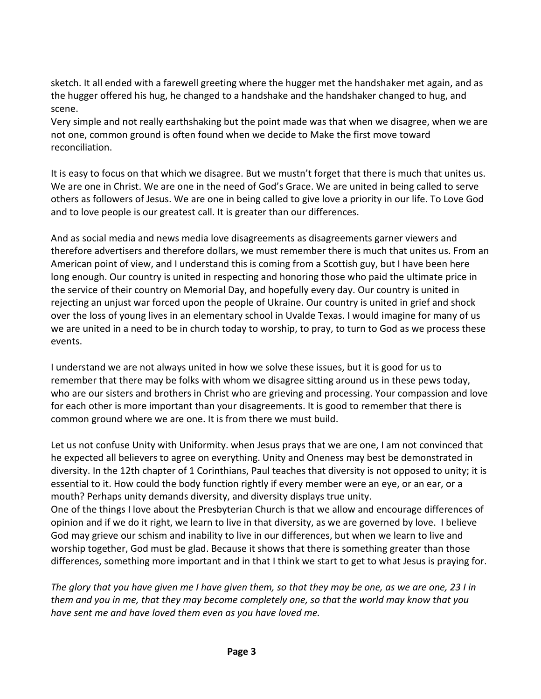sketch. It all ended with a farewell greeting where the hugger met the handshaker met again, and as the hugger offered his hug, he changed to a handshake and the handshaker changed to hug, and scene.

Very simple and not really earthshaking but the point made was that when we disagree, when we are not one, common ground is often found when we decide to Make the first move toward reconciliation.

It is easy to focus on that which we disagree. But we mustn't forget that there is much that unites us. We are one in Christ. We are one in the need of God's Grace. We are united in being called to serve others as followers of Jesus. We are one in being called to give love a priority in our life. To Love God and to love people is our greatest call. It is greater than our differences.

And as social media and news media love disagreements as disagreements garner viewers and therefore advertisers and therefore dollars, we must remember there is much that unites us. From an American point of view, and I understand this is coming from a Scottish guy, but I have been here long enough. Our country is united in respecting and honoring those who paid the ultimate price in the service of their country on Memorial Day, and hopefully every day. Our country is united in rejecting an unjust war forced upon the people of Ukraine. Our country is united in grief and shock over the loss of young lives in an elementary school in Uvalde Texas. I would imagine for many of us we are united in a need to be in church today to worship, to pray, to turn to God as we process these events.

I understand we are not always united in how we solve these issues, but it is good for us to remember that there may be folks with whom we disagree sitting around us in these pews today, who are our sisters and brothers in Christ who are grieving and processing. Your compassion and love for each other is more important than your disagreements. It is good to remember that there is common ground where we are one. It is from there we must build.

Let us not confuse Unity with Uniformity. when Jesus prays that we are one, I am not convinced that he expected all believers to agree on everything. Unity and Oneness may best be demonstrated in diversity. In the 12th chapter of 1 Corinthians, Paul teaches that diversity is not opposed to unity; it is essential to it. How could the body function rightly if every member were an eye, or an ear, or a mouth? Perhaps unity demands diversity, and diversity displays true unity. One of the things I love about the Presbyterian Church is that we allow and encourage differences of opinion and if we do it right, we learn to live in that diversity, as we are governed by love. I believe God may grieve our schism and inability to live in our differences, but when we learn to live and worship together, God must be glad. Because it shows that there is something greater than those differences, something more important and in that I think we start to get to what Jesus is praying for.

*The glory that you have given me I have given them, so that they may be one, as we are one, 23 I in them and you in me, that they may become completely one, so that the world may know that you have sent me and have loved them even as you have loved me.*